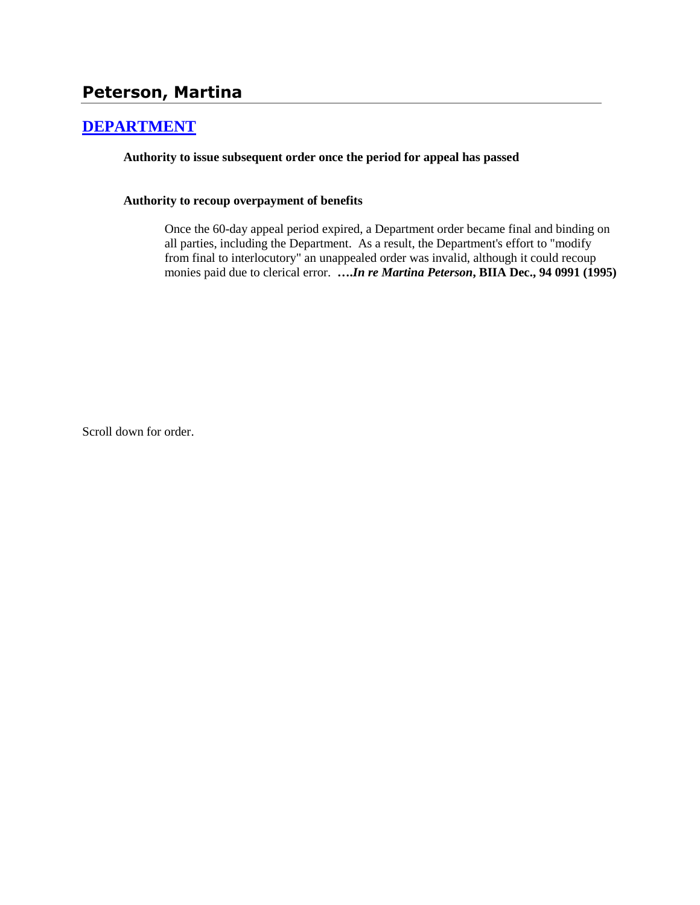# **[DEPARTMENT](http://www.biia.wa.gov/SDSubjectIndex.html#DEPARTMENT)**

**Authority to issue subsequent order once the period for appeal has passed**

# **Authority to recoup overpayment of benefits**

Once the 60-day appeal period expired, a Department order became final and binding on all parties, including the Department. As a result, the Department's effort to "modify from final to interlocutory" an unappealed order was invalid, although it could recoup monies paid due to clerical error. **….***In re Martina Peterson***, BIIA Dec., 94 0991 (1995)** 

Scroll down for order.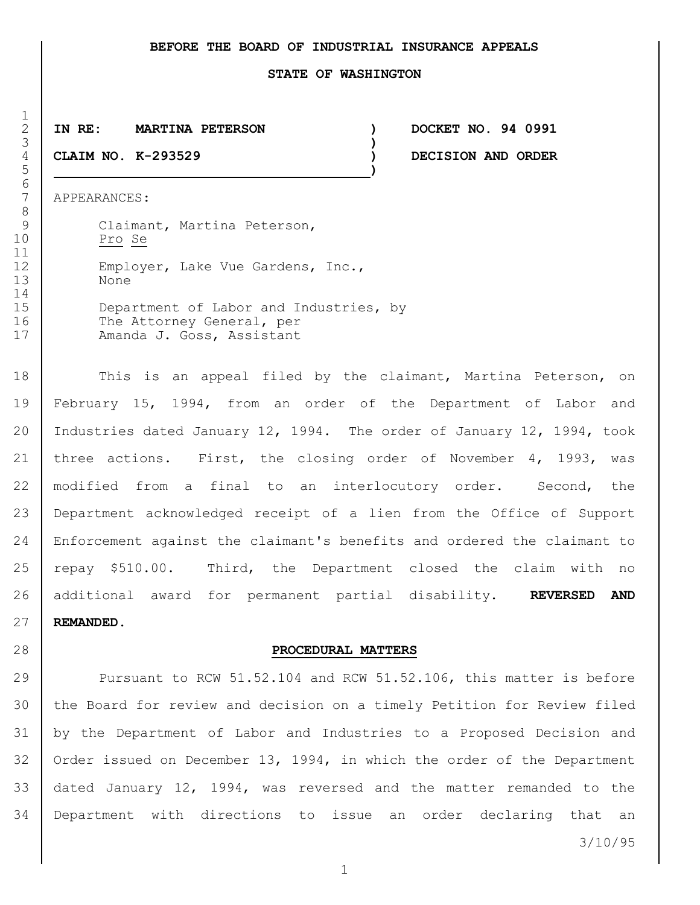## **BEFORE THE BOARD OF INDUSTRIAL INSURANCE APPEALS**

#### **STATE OF WASHINGTON**

## 2 **IN RE: MARTINA PETERSON ) DOCKET NO. 94 0991**

4 **CLAIM NO. K-293529 ) DECISION AND ORDER**

5 **)**

7 APPEARANCES:

9 Claimant, Martina Peterson, 10 Pro Se 12 Employer, Lake Vue Gardens, Inc., 13 None 15 Department of Labor and Industries, by 16 The Attorney General, per 17 | Amanda J. Goss, Assistant

18 This is an appeal filed by the claimant, Martina Peterson, on 19 February 15, 1994, from an order of the Department of Labor and 20 | Industries dated January 12, 1994. The order of January 12, 1994, took 21 | three actions. First, the closing order of November 4, 1993, was 22 modified from a final to an interlocutory order. Second, the 23 Department acknowledged receipt of a lien from the Office of Support 24 Enforcement against the claimant's benefits and ordered the claimant to 25 | repay \$510.00. Third, the Department closed the claim with no 26 additional award for permanent partial disability. **REVERSED AND**  27 **REMANDED.**

#### 28 **PROCEDURAL MATTERS**

29 Pursuant to RCW 51.52.104 and RCW 51.52.106, this matter is before the Board for review and decision on a timely Petition for Review filed by the Department of Labor and Industries to a Proposed Decision and 32 Order issued on December 13, 1994, in which the order of the Department dated January 12, 1994, was reversed and the matter remanded to the Department with directions to issue an order declaring that an

3/10/95

1

 $\frac{1}{2}$ 3 **)** 6<br>7 8 11 14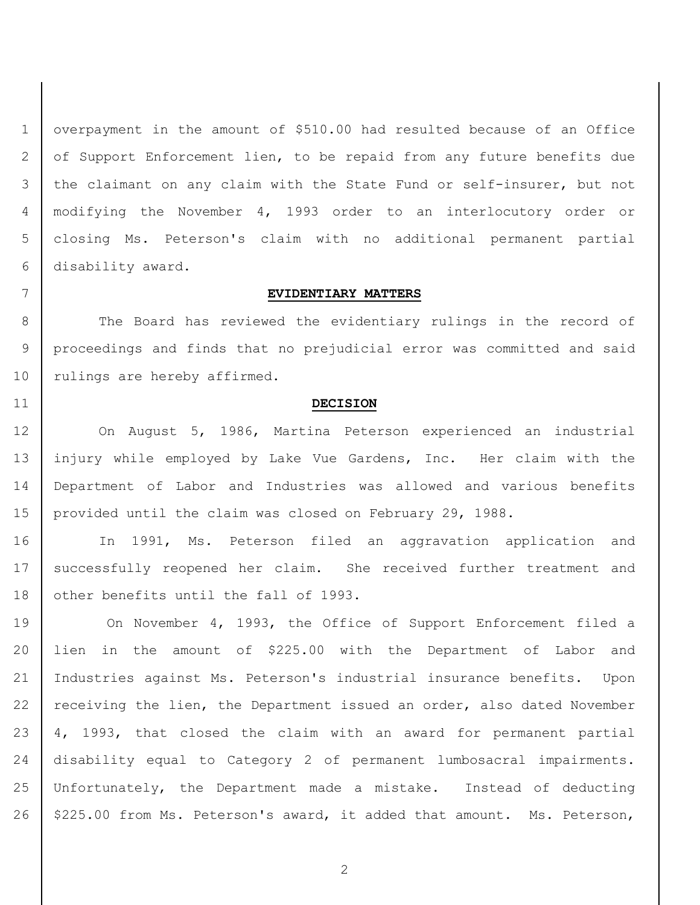overpayment in the amount of \$510.00 had resulted because of an Office 2 of Support Enforcement lien, to be repaid from any future benefits due the claimant on any claim with the State Fund or self-insurer, but not modifying the November 4, 1993 order to an interlocutory order or closing Ms. Peterson's claim with no additional permanent partial disability award.

## **EVIDENTIARY MATTERS**

8 The Board has reviewed the evidentiary rulings in the record of proceedings and finds that no prejudicial error was committed and said 10 | rulings are hereby affirmed.

## **DECISION**

 On August 5, 1986, Martina Peterson experienced an industrial injury while employed by Lake Vue Gardens, Inc. Her claim with the Department of Labor and Industries was allowed and various benefits provided until the claim was closed on February 29, 1988.

 In 1991, Ms. Peterson filed an aggravation application and 17 successfully reopened her claim. She received further treatment and 18 | other benefits until the fall of 1993.

19 On November 4, 1993, the Office of Support Enforcement filed a lien in the amount of \$225.00 with the Department of Labor and Industries against Ms. Peterson's industrial insurance benefits. Upon 22 receiving the lien, the Department issued an order, also dated November 4, 1993, that closed the claim with an award for permanent partial disability equal to Category 2 of permanent lumbosacral impairments. Unfortunately, the Department made a mistake. Instead of deducting 26 | \$225.00 from Ms. Peterson's award, it added that amount. Ms. Peterson,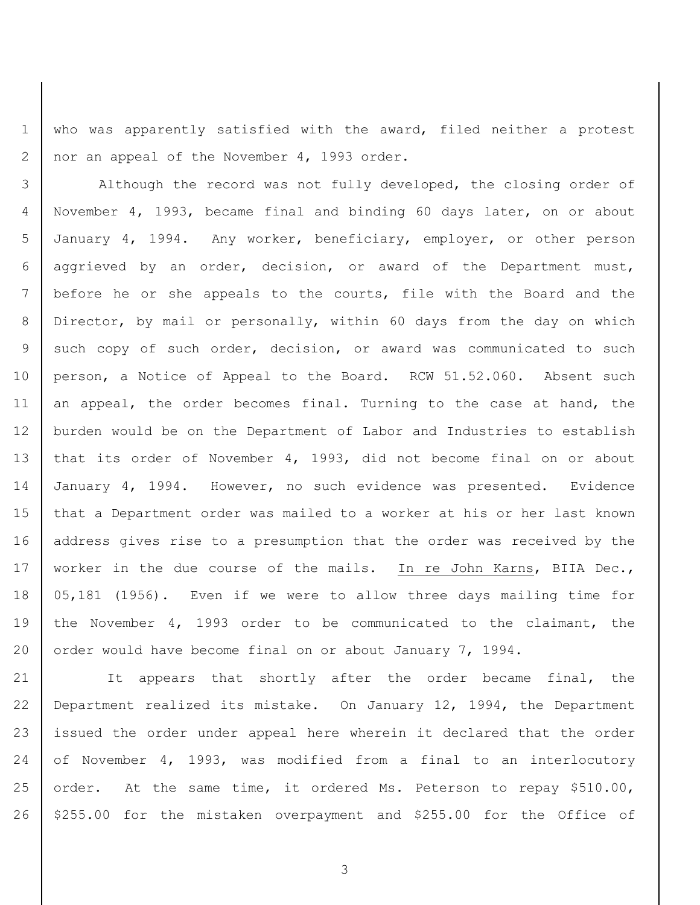1 who was apparently satisfied with the award, filed neither a protest 2 | nor an appeal of the November 4, 1993 order.

3 Although the record was not fully developed, the closing order of 4 November 4, 1993, became final and binding 60 days later, on or about 5 January 4, 1994. Any worker, beneficiary, employer, or other person 6 aggrieved by an order, decision, or award of the Department must, 7 before he or she appeals to the courts, file with the Board and the 8 Director, by mail or personally, within 60 days from the day on which 9 such copy of such order, decision, or award was communicated to such 10 | person, a Notice of Appeal to the Board. RCW 51.52.060. Absent such 11 an appeal, the order becomes final. Turning to the case at hand, the 12 burden would be on the Department of Labor and Industries to establish 13 | that its order of November 4, 1993, did not become final on or about 14 January 4, 1994. However, no such evidence was presented. Evidence 15 that a Department order was mailed to a worker at his or her last known 16 address gives rise to a presumption that the order was received by the 17 | worker in the due course of the mails. In re John Karns, BIIA Dec., 18 05,181 (1956). Even if we were to allow three days mailing time for 19 the November 4, 1993 order to be communicated to the claimant, the 20 order would have become final on or about January 7, 1994.

21 It appears that shortly after the order became final, the 22 Department realized its mistake. On January 12, 1994, the Department 23 issued the order under appeal here wherein it declared that the order 24 of November 4, 1993, was modified from a final to an interlocutory 25 order. At the same time, it ordered Ms. Peterson to repay \$510.00, 26 | \$255.00 for the mistaken overpayment and \$255.00 for the Office of

3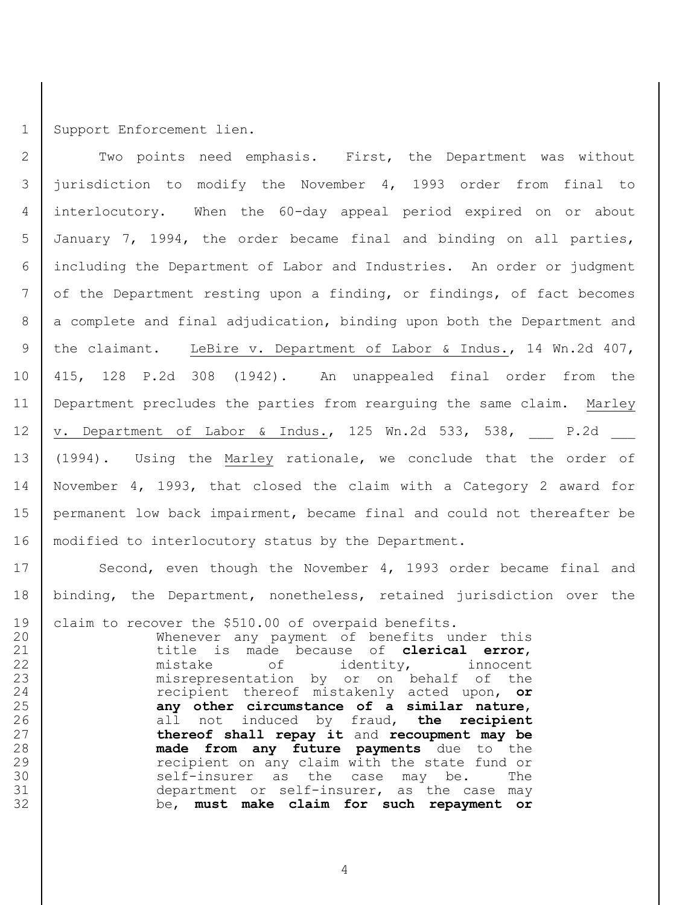Support Enforcement lien.

 Two points need emphasis. First, the Department was without jurisdiction to modify the November 4, 1993 order from final to interlocutory. When the 60-day appeal period expired on or about January 7, 1994, the order became final and binding on all parties, including the Department of Labor and Industries. An order or judgment of the Department resting upon a finding, or findings, of fact becomes 8 a complete and final adjudication, binding upon both the Department and 9 | the claimant. LeBire v. Department of Labor & Indus., 14 Wn.2d 407, 415, 128 P.2d 308 (1942). An unappealed final order from the Department precludes the parties from rearguing the same claim. Marley | v. Department of Labor & Indus.,  $125$  Wn.2d  $533$ ,  $538$ ,  $2d$  (1994). Using the Marley rationale, we conclude that the order of November 4, 1993, that closed the claim with a Category 2 award for permanent low back impairment, became final and could not thereafter be 16 | modified to interlocutory status by the Department.

17 | Second, even though the November 4, 1993 order became final and binding, the Department, nonetheless, retained jurisdiction over the

claim to recover the \$510.00 of overpaid benefits.

 Whenever any payment of benefits under this title is made because of **clerical error**, 22 | mistake of identity, innocent 23 misrepresentation by or on behalf of the recipient thereof mistakenly acted upon, **or any other circumstance of a similar nature**, 26 all not induced by fraud, **the recipient thereof shall repay it** and **recoupment may be made from any future payments** due to the 29 The recipient on any claim with the state fund or 30 self-insurer as the case may be. The department or self-insurer, as the case may be, **must make claim for such repayment or**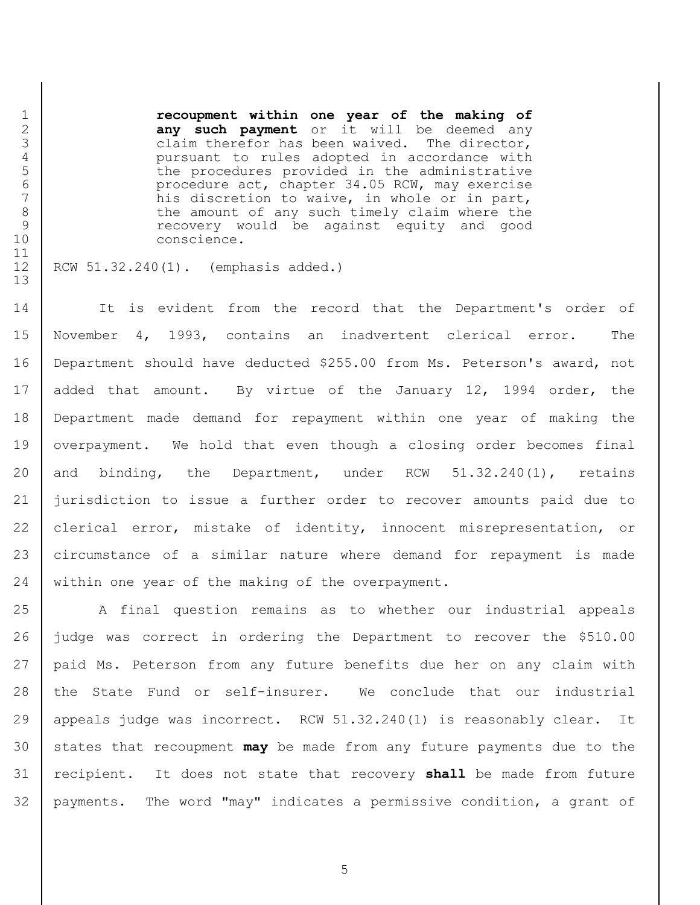**recoupment within one year of the making of**  2 **any such payment** or it will be deemed any<br>3 claim therefor has been waived. The director,<br>4 pursuant to rules adopted in accordance with claim therefor has been waived. The director, 4 pursuant to rules adopted in accordance with<br>5 the procedures provided in the administrative<br>6 procedure act, chapter 34.05 RCW, may exercise the procedures provided in the administrative 6 procedure act, chapter 34.05 RCW, may exercise<br>7 his discretion to waive, in whole or in part, his discretion to waive, in whole or in part, the amount of any such timely claim where the recovery would be against equity and good conscience.

RCW 51.32.240(1). (emphasis added.)

14 It is evident from the record that the Department's order of November 4, 1993, contains an inadvertent clerical error. The Department should have deducted \$255.00 from Ms. Peterson's award, not 17 | added that amount. By virtue of the January 12, 1994 order, the Department made demand for repayment within one year of making the 19 overpayment. We hold that even though a closing order becomes final and binding, the Department, under RCW 51.32.240(1), retains jurisdiction to issue a further order to recover amounts paid due to clerical error, mistake of identity, innocent misrepresentation, or circumstance of a similar nature where demand for repayment is made within one year of the making of the overpayment.

 A final question remains as to whether our industrial appeals judge was correct in ordering the Department to recover the \$510.00 paid Ms. Peterson from any future benefits due her on any claim with 28 the State Fund or self-insurer. We conclude that our industrial appeals judge was incorrect. RCW 51.32.240(1) is reasonably clear. It states that recoupment **may** be made from any future payments due to the recipient. It does not state that recovery **shall** be made from future payments. The word "may" indicates a permissive condition, a grant of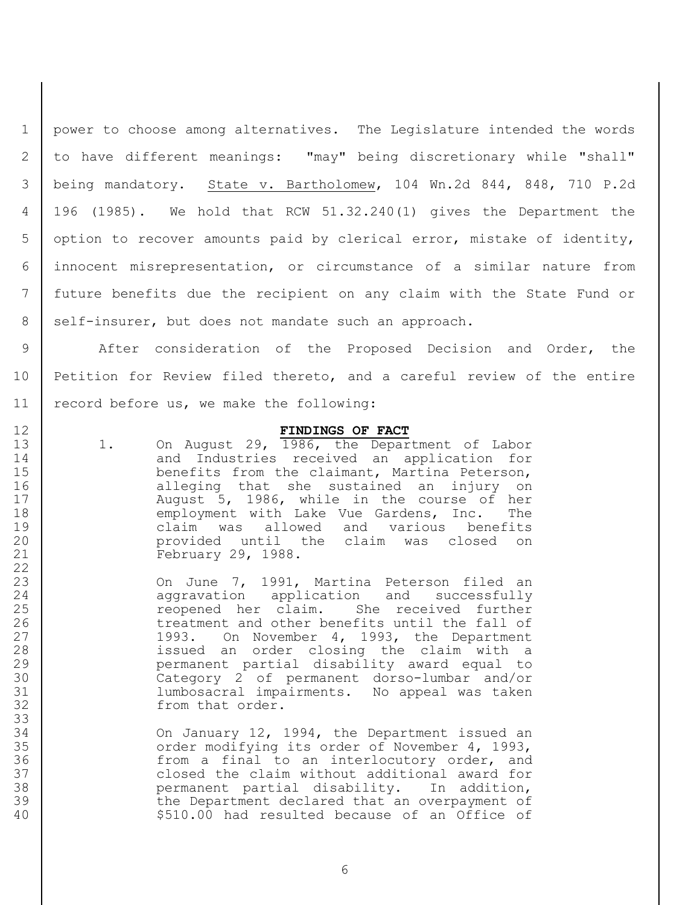power to choose among alternatives. The Legislature intended the words to have different meanings: "may" being discretionary while "shall" being mandatory. State v. Bartholomew, 104 Wn.2d 844, 848, 710 P.2d 4 | 196 (1985). We hold that RCW 51.32.240(1) gives the Department the 5 option to recover amounts paid by clerical error, mistake of identity, innocent misrepresentation, or circumstance of a similar nature from future benefits due the recipient on any claim with the State Fund or 8 self-insurer, but does not mandate such an approach.

9 | After consideration of the Proposed Decision and Order, the 10 Petition for Review filed thereto, and a careful review of the entire 11 | record before us, we make the following:

### 12 **FINDINGS OF FACT**

22

33

13 1. On August 29, 1986, the Department of Labor 14 and Industries received an application for 15 benefits from the claimant, Martina Peterson, 16 alleging that she sustained an injury on 17 | August 5, 1986, while in the course of her 18 employment with Lake Vue Gardens, Inc. The 19 claim was allowed and various benefits 20 | end provided until the claim was closed on 21 February 29, 1988.

 On June 7, 1991, Martina Peterson filed an 24 aggravation application and successfully 25 Teopened her claim. She received further 26 treatment and other benefits until the fall of 1993. On November 4, 1993, the Department issued an order closing the claim with a permanent partial disability award equal to Category 2 of permanent dorso-lumbar and/or lumbosacral impairments. No appeal was taken from that order.

34 On January 12, 1994, the Department issued an 35 order modifying its order of November 4, 1993, 36 from a final to an interlocutory order, and 37 closed the claim without additional award for 38 permanent partial disability. In addition, 39 the Department declared that an overpayment of 40 | S510.00 had resulted because of an Office of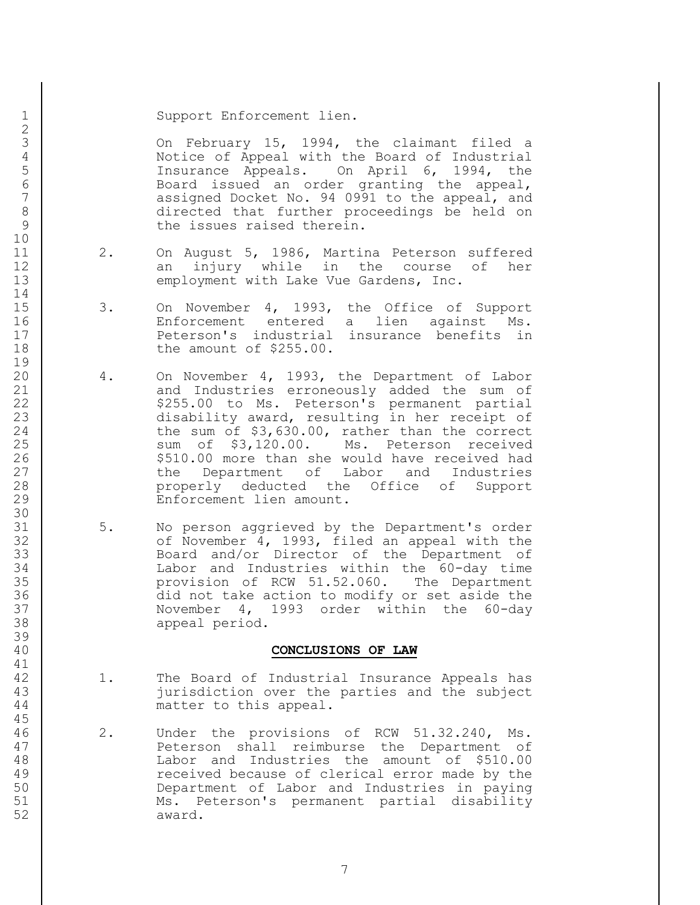1 | Support Enforcement lien.

3 On February 15, 1994, the claimant filed a Notice of Appeal with the Board of Industrial 5 Insurance Appeals. On April 6, 1994, the<br>6 Board issued an order granting the appeal, 6 Board issued an order granting the appeal,<br>7 assigned Docket No. 94 0991 to the appeal, and assigned Docket No. 94 0991 to the appeal, and directed that further proceedings be held on 9 | the issues raised therein.

- 11 | 2. On August 5, 1986, Martina Peterson suffered 12 | an injury while in the course of her 13 employment with Lake Vue Gardens, Inc.
- 15 3. On November 4, 1993, the Office of Support Enforcement entered a lien against Ms. Peterson's industrial insurance benefits in **the amount of \$255.00.**
- 4. On November 4, 1993, the Department of Labor 21 and Industries erroneously added the sum of 22 | S255.00 to Ms. Peterson's permanent partial 23 disability award, resulting in her receipt of 24 the sum of \$3,630.00, rather than the correct 25 Sum of \$3,120.00. Ms. Peterson received 26 | S510.00 more than she would have received had 27 the Department of Labor and Industries 28 | Comproperly deducted the Office of Support Enforcement lien amount.
- 31 | 5. No person aggrieved by the Department's order 32 | cf November 4, 1993, filed an appeal with the Board and/or Director of the Department of Labor and Industries within the 60-day time provision of RCW 51.52.060. The Department did not take action to modify or set aside the November 4, 1993 order within the 60-day appeal period.

#### **CONCLUSIONS OF LAW**

- 42 1. The Board of Industrial Insurance Appeals has jurisdiction over the parties and the subject matter to this appeal.
- 2. Under the provisions of RCW 51.32.240, Ms. Peterson shall reimburse the Department of Labor and Industries the amount of \$510.00 received because of clerical error made by the Department of Labor and Industries in paying Ms. Peterson's permanent partial disability award.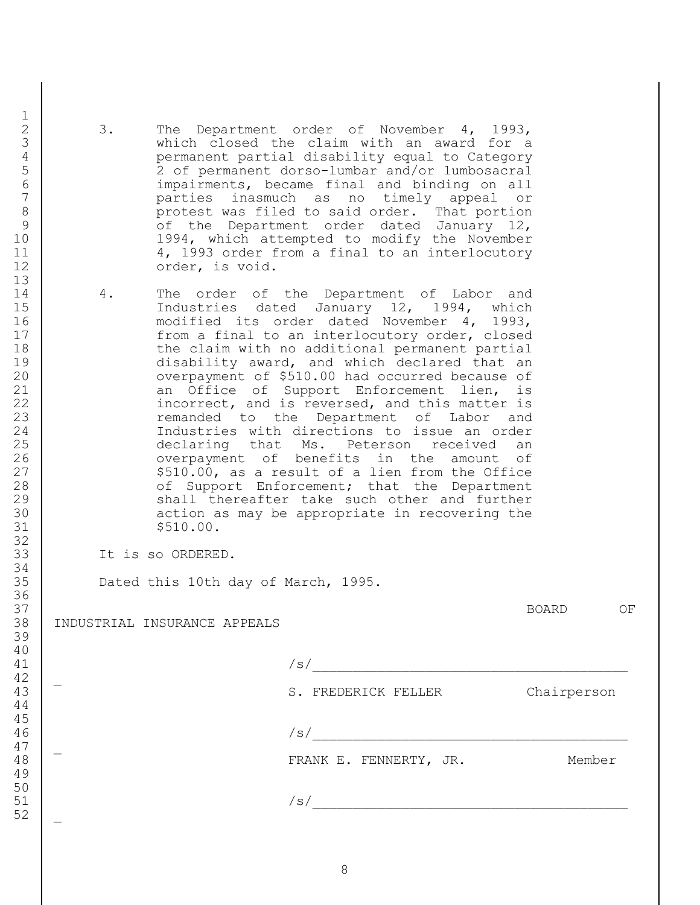- 3. The Department order of November 4, 1993, which closed the claim with an award for a permanent partial disability equal to Category 5 2 of permanent dorso-lumbar and/or lumbosacral impairments, became final and binding on all parties inasmuch as no timely appeal or protest was filed to said order. That portion of the Department order dated January 12, 1994, which attempted to modify the November 4, 1993 order from a final to an interlocutory order, is void.
- 14 4. The order of the Department of Labor and Industries dated January 12, 1994, which modified its order dated November 4, 1993, from a final to an interlocutory order, closed the claim with no additional permanent partial disability award, and which declared that an overpayment of \$510.00 had occurred because of an Office of Support Enforcement lien, is incorrect, and is reversed, and this matter is remanded to the Department of Labor and Industries with directions to issue an order declaring that Ms. Peterson received an overpayment of benefits in the amount of  $$510.00$ , as a result of a lien from the Office of Support Enforcement; that the Department shall thereafter take such other and further action as may be appropriate in recovering the \$510.00.
- It is so ORDERED.

Dated this 10th day of March, 1995.

38 INDUSTRIAL INSURANCE APPEALS

| 41         |   | $\sim$                      |             |
|------------|---|-----------------------------|-------------|
| 42         | _ |                             |             |
| 43         |   | , FREDERICK FELLER<br>$S$ . | Chairperson |
| 44         |   |                             |             |
| $\sim$ $-$ |   |                             |             |

FRANK E. FENNERTY, JR. Member

 $/s/$ 

 $\sqrt{s/2}$ 

| Ι<br>40<br>$\mathbf 1$<br>4<br>$\overline{4}$<br>3 | $^{2}$<br>3456789012345678901234567890123456789<br>$\mathbf{1}$ |  |
|----------------------------------------------------|-----------------------------------------------------------------|--|
|                                                    |                                                                 |  |
|                                                    | 4444444<br>567<br>8<br>$\circ$<br>50<br>51<br>52                |  |

1

37 BOARD OF